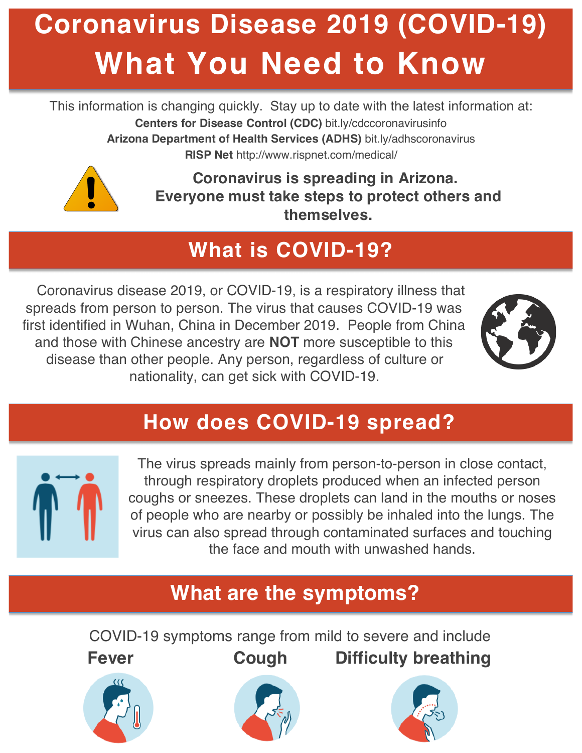# **Coronavirus Disease 2019 (COVID-19) What You Need to Know**

This information is changing quickly. Stay up to date with the latest information at: **Centers for Disease Control (CDC)** bit.ly/cdccoronavirusinfo **Arizona Department of Health Services (ADHS)** bit.ly/adhscoronavirus **RISP Net** http://www.rispnet.com/medical/



**Coronavirus is spreading in Arizona. Everyone must take steps to protect others and themselves.**

# **What is COVID-19?**

Coronavirus disease 2019, or COVID-19, is a respiratory illness that spreads from person to person. The virus that causes COVID-19 was first identified in Wuhan, China in December 2019. People from China and those with Chinese ancestry are **NOT** more susceptible to this disease than other people. Any person, regardless of culture or nationality, can get sick with COVID-19.



## **How does COVID-19 spread?**



The virus spreads mainly from person-to-person in close contact, through respiratory droplets produced when an infected person coughs or sneezes. These droplets can land in the mouths or noses of people who are nearby or possibly be inhaled into the lungs. The virus can also spread through contaminated surfaces and touching the face and mouth with unwashed hands.

## **What are the symptoms?**

COVID-19 symptoms range from mild to severe and include